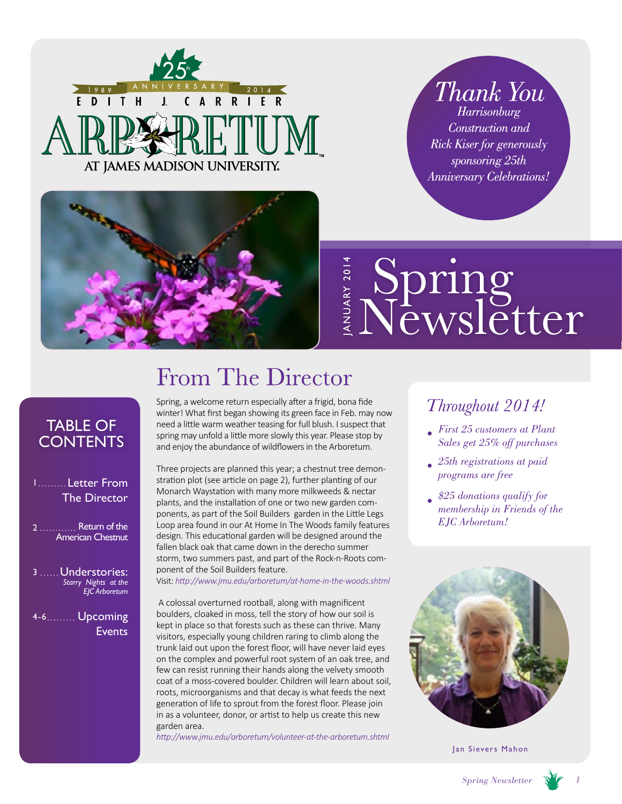

*Thank You* **Harrisonburg** Construction and Rick Kiser for generously sponsoring 25th **Anniversary Celebrations!** 



# Spring<br>Newsletter ANUARY 201

## TABLE OF **CONTENTS**

### 1 Letter From The Director

2 .............. Return of the American Chestnut

3 Understories: *Starry Nights at the EJC Arboretum* 

4-6 Upcoming Events

# From The Director

Spring, a welcome return especially after a frigid, bona fide winter! What first began showing its green face in Feb. may now need a little warm weather teasing for full blush. I suspect that spring may unfold a little more slowly this year. Please stop by and enjoy the abundance of wildflowers in the Arboretum.

Three projects are planned this year; a chestnut tree demonstration plot (see article on page 2), further planting of our Monarch Waystation with many more milkweeds & nectar plants, and the installation of one or two new garden components, as part of the Soil Builders garden in the Little Legs Return of the Loop area found in our At Home In The Woods family features *EJC Arboretum!* design. This educational garden will be designed around the fallen black oak that came down in the derecho summer storm, two summers past, and part of the Rock-n-Roots component of the Soil Builders feature.

Visit: *http://www.jmu.edu/arboretum/at-home-in-the-woods.shtml*

 A colossal overturned rootball, along with magnificent boulders, cloaked in moss, tell the story of how our soil is kept in place so that forests such as these can thrive. Many visitors, especially young children raring to climb along the trunk laid out upon the forest floor, will have never laid eyes on the complex and powerful root system of an oak tree, and few can resist running their hands along the velvety smooth coat of a moss-covered boulder. Children will learn about soil, roots, microorganisms and that decay is what feeds the next generation of life to sprout from the forest floor. Please join in as a volunteer, donor, or artist to help us create this new garden area.

*http://www.jmu.edu/arboretum/volunteer-at-the-arboretum.shtml*

## Throughout 2014!

- *First 25 customers at Plant Sales get 25% off purchases*
- *25th registrations at paid programs are free*
- *\$25 donations qualify for membership in Friends of the*



Jan Sievers Mahon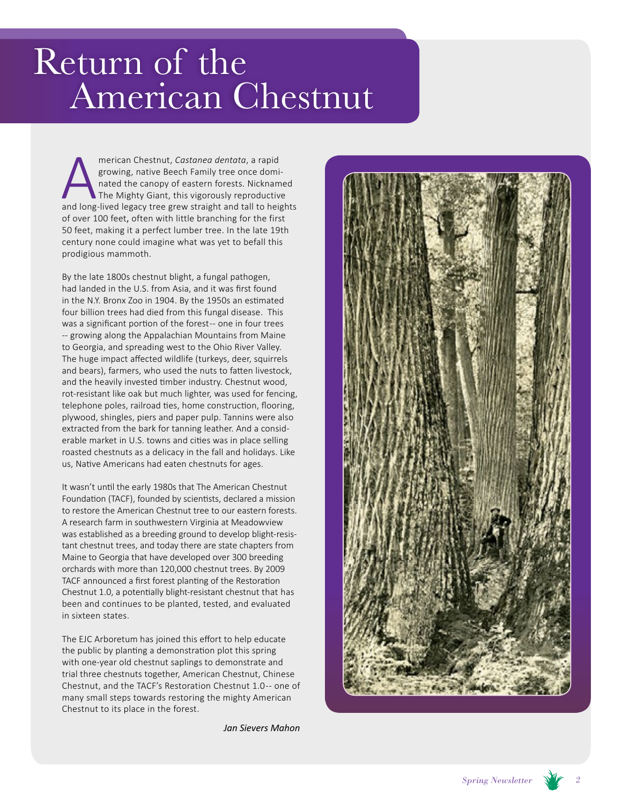# Return of the American Chestnut

merican Chestnut, *Castanea dentata*, a rapid<br>growing, native Beech Family tree once domi-<br>nated the canopy of eastern forests. Nicknamed<br>The Mighty Giant, this vigorously reproductive<br>and long-lived legacy tree grew strai growing, native Beech Family tree once dominated the canopy of eastern forests. Nicknamed The Mighty Giant, this vigorously reproductive of over 100 feet, often with little branching for the first 50 feet, making it a perfect lumber tree. In the late 19th century none could imagine what was yet to befall this prodigious mammoth.

By the late 1800s chestnut blight, a fungal pathogen, had landed in the U.S. from Asia, and it was first found in the N.Y. Bronx Zoo in 1904. By the 1950s an estimated four billion trees had died from this fungal disease. This was a significant portion of the forest-- one in four trees -- growing along the Appalachian Mountains from Maine to Georgia, and spreading west to the Ohio River Valley. The huge impact affected wildlife (turkeys, deer, squirrels and bears), farmers, who used the nuts to fatten livestock, and the heavily invested timber industry. Chestnut wood, rot-resistant like oak but much lighter, was used for fencing, telephone poles, railroad ties, home construction, flooring, plywood, shingles, piers and paper pulp. Tannins were also extracted from the bark for tanning leather. And a considerable market in U.S. towns and cities was in place selling roasted chestnuts as a delicacy in the fall and holidays. Like us, Native Americans had eaten chestnuts for ages.

It wasn't until the early 1980s that The American Chestnut Foundation (TACF), founded by scientists, declared a mission to restore the American Chestnut tree to our eastern forests. A research farm in southwestern Virginia at Meadowview was established as a breeding ground to develop blight-resistant chestnut trees, and today there are state chapters from Maine to Georgia that have developed over 300 breeding orchards with more than 120,000 chestnut trees. By 2009 TACF announced a first forest planting of the Restoration Chestnut 1.0, a potentially blight-resistant chestnut that has been and continues to be planted, tested, and evaluated in sixteen states.

The EJC Arboretum has joined this effort to help educate the public by planting a demonstration plot this spring with one-year old chestnut saplings to demonstrate and trial three chestnuts together, American Chestnut, Chinese Chestnut, and the TACF's Restoration Chestnut 1.0 -- one of many small steps towards restoring the mighty American Chestnut to its place in the forest.

*Jan Sievers Mahon*

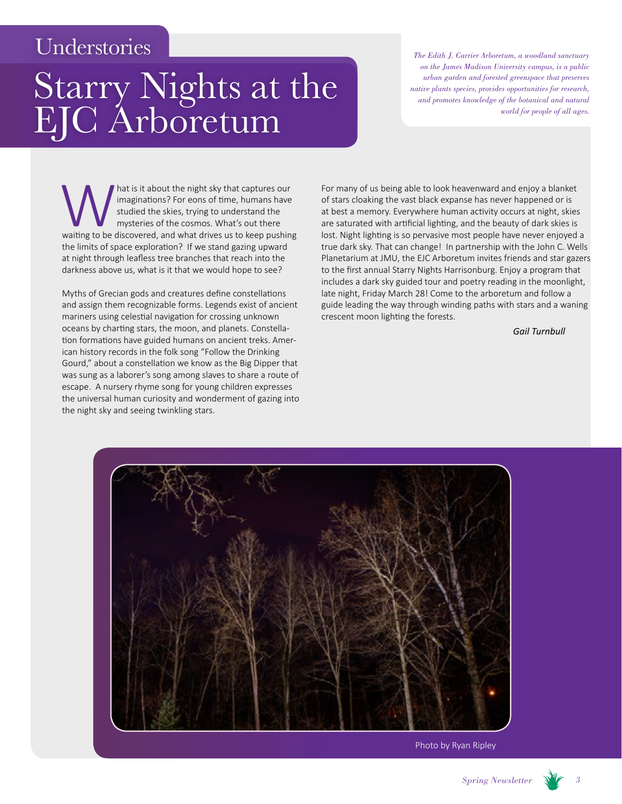## Understories

# Starry Nights at the EJC Arboretum

*The Edith J. Carrier Arboretum, a woodland sanctuary on the James Madison University campus, is a public urban garden and forested greenspace that preserves native plants species, provides opportunities for research, and promotes knowledge of the botanical and natural world for people of all ages.*

Mat is it about the night sky that captures our imaginations? For eons of time, humans have studied the skies, trying to understand the mysteries of the cosmos. What's out there waiting to be discovered, and what drives us imaginations? For eons of time, humans have studied the skies, trying to understand the mysteries of the cosmos. What's out there the limits of space exploration? If we stand gazing upward at night through leafless tree branches that reach into the darkness above us, what is it that we would hope to see?

Myths of Grecian gods and creatures define constellations and assign them recognizable forms. Legends exist of ancient mariners using celestial navigation for crossing unknown oceans by charting stars, the moon, and planets. Constellation formations have guided humans on ancient treks. American history records in the folk song "Follow the Drinking Gourd," about a constellation we know as the Big Dipper that was sung as a laborer's song among slaves to share a route of escape. A nursery rhyme song for young children expresses the universal human curiosity and wonderment of gazing into the night sky and seeing twinkling stars.

For many of us being able to look heavenward and enjoy a blanket of stars cloaking the vast black expanse has never happened or is at best a memory. Everywhere human activity occurs at night, skies are saturated with artificial lighting, and the beauty of dark skies is lost. Night lighting is so pervasive most people have never enjoyed a true dark sky. That can change! In partnership with the John C. Wells Planetarium at JMU, the EJC Arboretum invites friends and star gazers to the first annual Starry Nights Harrisonburg. Enjoy a program that includes a dark sky guided tour and poetry reading in the moonlight, late night, Friday March 28! Come to the arboretum and follow a guide leading the way through winding paths with stars and a waning crescent moon lighting the forests.

*Gail Turnbull*



Photo by Ryan Ripley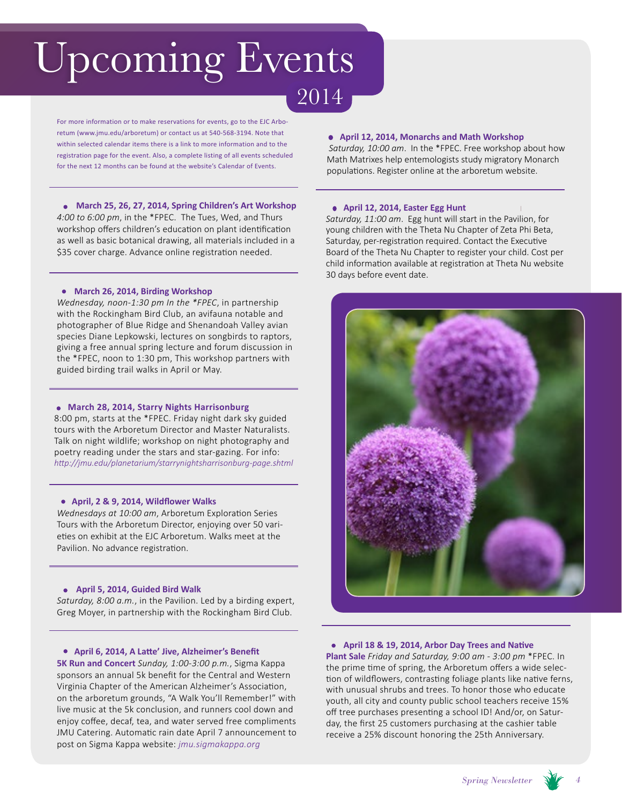# Upcoming Events

For more information or to make reservations for events, go to the EJC Arboretum (www.jmu.edu/arboretum) or contact us at 540-568-3194. Note that within selected calendar items there is a link to more information and to the registration page for the event. Also, a complete listing of all events scheduled for the next 12 months can be found at the website's Calendar of Events.

**March 25, 26, 27, 2014, Spring Children's Art Workshop** *4:00 to 6:00 pm*, in the \*FPEC. The Tues, Wed, and Thurs workshop offers children's education on plant identification as well as basic botanical drawing, all materials included in a \$35 cover charge. Advance online registration needed.

**March 26, 2014, Birding Workshop** 

*Wednesday, noon-1:30 pm In the \*FPEC*, in partnership with the Rockingham Bird Club, an avifauna notable and photographer of Blue Ridge and Shenandoah Valley avian species Diane Lepkowski, lectures on songbirds to raptors, giving a free annual spring lecture and forum discussion in the \*FPEC, noon to 1:30 pm, This workshop partners with guided birding trail walks in April or May.

#### **March 28, 2014, Starry Nights Harrisonburg**

8:00 pm, starts at the \*FPEC. Friday night dark sky guided tours with the Arboretum Director and Master Naturalists. Talk on night wildlife; workshop on night photography and poetry reading under the stars and star-gazing. For info: *http://jmu.edu/planetarium/starrynightsharrisonburg-page.shtml*

#### **April, 2 & 9, 2014, Wildflower Walks**

*Wednesdays at 10:00 am*, Arboretum Exploration Series Tours with the Arboretum Director, enjoying over 50 varieties on exhibit at the EJC Arboretum. Walks meet at the Pavilion. No advance registration.

#### **April 5, 2014, Guided Bird Walk**

*Saturday, 8:00 a.m.*, in the Pavilion. Led by a birding expert, Greg Moyer, in partnership with the Rockingham Bird Club.

#### **April 6, 2014, A Latte' Jive, Alzheimer's Benefit**

**5K Run and Concert** *Sunday, 1:00-3:00 p.m.*, Sigma Kappa sponsors an annual 5k benefit for the Central and Western Virginia Chapter of the American Alzheimer's Association, on the arboretum grounds, "A Walk You'll Remember!" with live music at the 5k conclusion, and runners cool down and enjoy coffee, decaf, tea, and water served free compliments JMU Catering. Automatic rain date April 7 announcement to post on Sigma Kappa website: *jmu.sigmakappa.org*

#### **April 12, 2014, Monarchs and Math Workshop**

*Saturday, 10:00 am*. In the \*FPEC. Free workshop about how Math Matrixes help entemologists study migratory Monarch populations. Register online at the arboretum website.

#### **April 12, 2014, Easter Egg Hunt**

2014

*Saturday, 11:00 am*. Egg hunt will start in the Pavilion, for young children with the Theta Nu Chapter of Zeta Phi Beta, Saturday, per-registration required. Contact the Executive Board of the Theta Nu Chapter to register your child. Cost per child information available at registration at Theta Nu website 30 days before event date.



#### **April 18 & 19, 2014, Arbor Day Trees and Native**

**Plant Sale** *Friday and Saturday, 9:00 am - 3:00 pm* \*FPEC. In the prime time of spring, the Arboretum offers a wide selection of wildflowers, contrasting foliage plants like native ferns, with unusual shrubs and trees. To honor those who educate youth, all city and county public school teachers receive 15% off tree purchases presenting a school ID! And/or, on Saturday, the first 25 customers purchasing at the cashier table receive a 25% discount honoring the 25th Anniversary.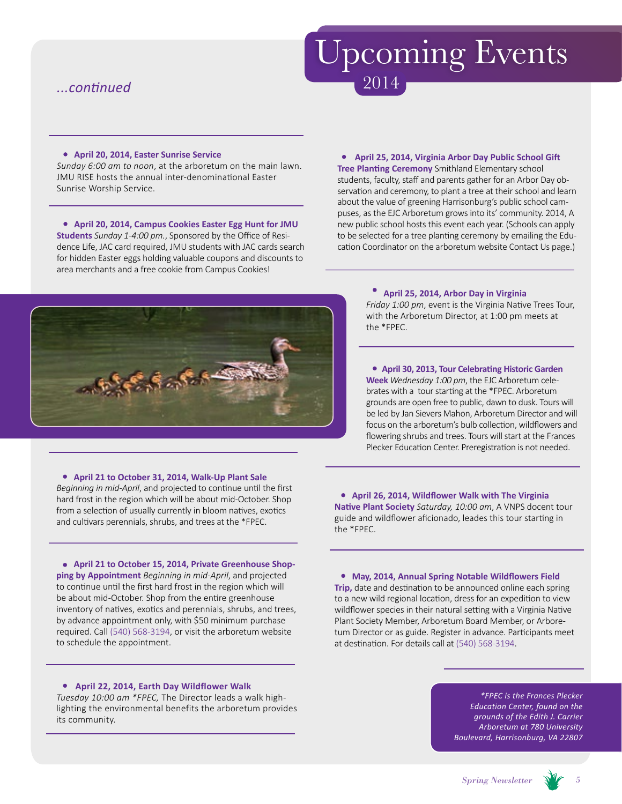### *...continued*

# Upcoming Events 2014

#### **April 20, 2014, Easter Sunrise Service**

*Sunday 6:00 am to noon*, at the arboretum on the main lawn. JMU RISE hosts the annual inter-denominational Easter Sunrise Worship Service.

**April 20, 2014, Campus Cookies Easter Egg Hunt for JMU** 

**Students** *Sunday 1-4:00 pm.*, Sponsored by the Office of Residence Life, JAC card required, JMU students with JAC cards search for hidden Easter eggs holding valuable coupons and discounts to area merchants and a free cookie from Campus Cookies!

#### **April 25, 2014, Virginia Arbor Day Public School Gift Tree Planting Ceremony** Smithland Elementary school students, faculty, staff and parents gather for an Arbor Day observation and ceremony, to plant a tree at their school and learn about the value of greening Harrisonburg's public school campuses, as the EJC Arboretum grows into its' community. 2014, A new public school hosts this event each year. (Schools can apply to be selected for a tree planting ceremony by emailing the Education Coordinator on the arboretum website Contact Us page.)



## **April 25, 2014, Arbor Day in Virginia**

*Friday 1:00 pm*, event is the Virginia Native Trees Tour, with the Arboretum Director, at 1:00 pm meets at the \*FPEC.

**April 30, 2013, Tour Celebrating Historic Garden Week** *Wednesday 1:00 pm*, the EJC Arboretum celebrates with a tour starting at the \*FPEC. Arboretum grounds are open free to public, dawn to dusk. Tours will be led by Jan Sievers Mahon, Arboretum Director and will focus on the arboretum's bulb collection, wildflowers and flowering shrubs and trees. Tours will start at the Frances Plecker Education Center. Preregistration is not needed.

### **April 21 to October 31, 2014, Walk-Up Plant Sale**

*Beginning in mid-April*, and projected to continue until the first hard frost in the region which will be about mid-October. Shop from a selection of usually currently in bloom natives, exotics and cultivars perennials, shrubs, and trees at the \*FPEC.

**April 21 to October 15, 2014, Private Greenhouse Shopping by Appointment** *Beginning in mid-April*, and projected to continue until the first hard frost in the region which will be about mid-October. Shop from the entire greenhouse inventory of natives, exotics and perennials, shrubs, and trees, by advance appointment only, with \$50 minimum purchase required. Call (540) 568-3194, or visit the arboretum website to schedule the appointment.

#### **April 22, 2014, Earth Day Wildflower Walk**

*Tuesday 10:00 am \*FPEC,* The Director leads a walk highlighting the environmental benefits the arboretum provides its community.

**April 26, 2014, Wildflower Walk with The Virginia Native Plant Society** *Saturday, 10:00 am*, A VNPS docent tour guide and wildflower aficionado, leades this tour starting in the \*FPEC.

**May, 2014, Annual Spring Notable Wildflowers Field** 

**Trip,** date and destination to be announced online each spring to a new wild regional location, dress for an expedition to view wildflower species in their natural setting with a Virginia Native Plant Society Member, Arboretum Board Member, or Arboretum Director or as guide. Register in advance. Participants meet at destination. For details call at (540) 568-3194.

> *\*FPEC is the Frances Plecker Education Center, found on the grounds of the Edith J. Carrier Arboretum at 780 University Boulevard, Harrisonburg, VA 22807*